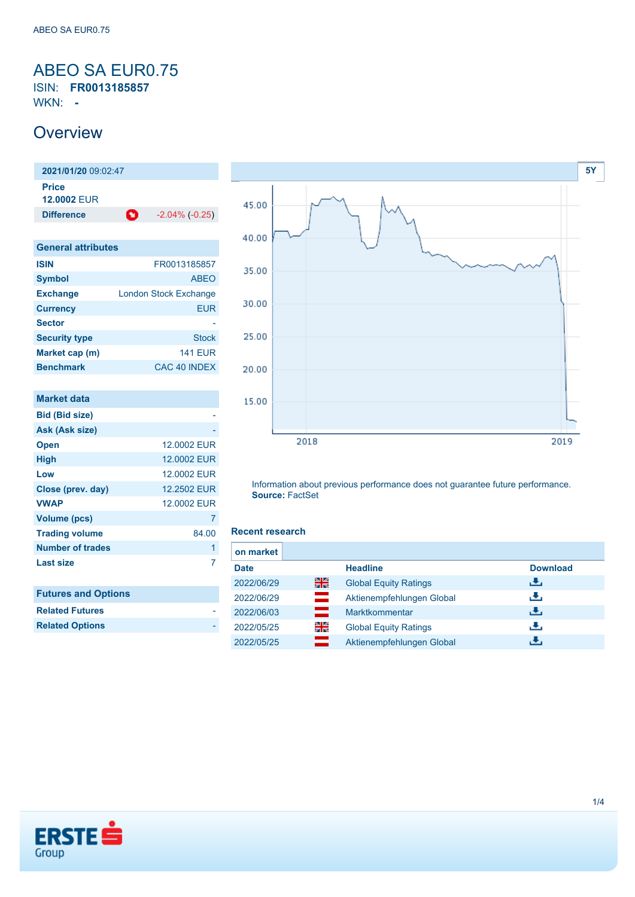### <span id="page-0-0"></span>ABEO SA EUR0.75 ISIN: **FR0013185857**

WKN: **-**

## **Overview**

**2021/01/20** 09:02:47 **Price 12.0002** EUR **Difference 1** -2.04% (-0.25)

| <b>General attributes</b> |                              |  |  |  |
|---------------------------|------------------------------|--|--|--|
| <b>ISIN</b>               | FR0013185857                 |  |  |  |
| <b>Symbol</b>             | <b>ABEO</b>                  |  |  |  |
| <b>Exchange</b>           | <b>London Stock Exchange</b> |  |  |  |
| <b>Currency</b>           | EUR                          |  |  |  |
| <b>Sector</b>             |                              |  |  |  |
| <b>Security type</b>      | <b>Stock</b>                 |  |  |  |
| Market cap (m)            | <b>141 EUR</b>               |  |  |  |
| <b>Benchmark</b>          | CAC 40 INDEX                 |  |  |  |

| <b>Market data</b>      |             |
|-------------------------|-------------|
| <b>Bid (Bid size)</b>   |             |
| Ask (Ask size)          |             |
| <b>Open</b>             | 12,0002 EUR |
| <b>High</b>             | 12,0002 EUR |
| Low                     | 12,0002 EUR |
| Close (prev. day)       | 12.2502 EUR |
| <b>VWAP</b>             | 12,0002 EUR |
| <b>Volume (pcs)</b>     | 7           |
| <b>Trading volume</b>   | 84.00       |
| Number of trades        | 1           |
| <b>Last size</b>        | 7           |
|                         |             |
| . A.<br><b>PARADISE</b> |             |



| <b>Related Futures</b> |  |
|------------------------|--|
| <b>Related Options</b> |  |



Information about previous performance does not guarantee future performance. **Source:** FactSet

#### **Recent research**

|     | <b>Headline</b>              | <b>Download</b> |
|-----|------------------------------|-----------------|
| 을중  | <b>Global Equity Ratings</b> | رالى            |
| $=$ | Aktienempfehlungen Global    | رنان            |
|     | Marktkommentar               | رالى            |
| 읡   | <b>Global Equity Ratings</b> | رالى            |
|     | Aktienempfehlungen Global    | æ,              |
|     |                              |                 |

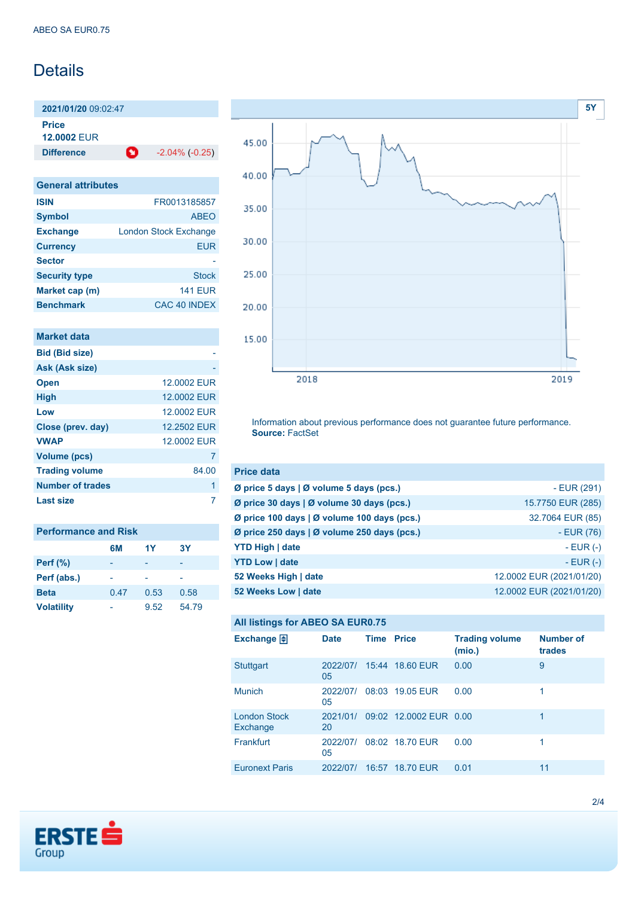## Details

**2021/01/20** 09:02:47

**Price**

**12.0002** EUR

**Difference** -2.04% (-0.25)

| <b>General attributes</b> |                              |  |  |
|---------------------------|------------------------------|--|--|
| <b>ISIN</b>               | FR0013185857                 |  |  |
| <b>Symbol</b>             | <b>ABEO</b>                  |  |  |
| <b>Exchange</b>           | <b>London Stock Exchange</b> |  |  |
| <b>Currency</b>           | <b>EUR</b>                   |  |  |
| <b>Sector</b>             |                              |  |  |
| <b>Security type</b>      | <b>Stock</b>                 |  |  |
| Market cap (m)            | <b>141 EUR</b>               |  |  |
| <b>Benchmark</b>          | CAC 40 INDEX                 |  |  |

| Market data           |             |
|-----------------------|-------------|
| <b>Bid (Bid size)</b> |             |
| Ask (Ask size)        |             |
| <b>Open</b>           | 12,0002 FUR |
| <b>High</b>           | 12.0002 EUR |
| Low                   | 12,0002 FUR |
| Close (prev. day)     | 12.2502 EUR |
| <b>VWAP</b>           | 12,0002 FUR |
| <b>Volume (pcs)</b>   | 7           |
| <b>Trading volume</b> | 84.00       |
| Number of trades      | 1           |
| Last size             |             |

| <b>Performance and Risk</b> |      |      |       |  |
|-----------------------------|------|------|-------|--|
|                             | 6M   | 1Y   | 3Υ    |  |
| <b>Perf</b> (%)             |      |      |       |  |
| Perf (abs.)                 |      |      |       |  |
| <b>Beta</b>                 | 0.47 | 0.53 | 0.58  |  |
| <b>Volatility</b>           |      | 9.52 | 54.79 |  |



Information about previous performance does not guarantee future performance. **Source:** FactSet

| <b>Price data</b>                                 |                          |
|---------------------------------------------------|--------------------------|
| Ø price 5 days   Ø volume 5 days (pcs.)           | $-EUR(291)$              |
| Ø price 30 days   Ø volume 30 days (pcs.)         | 15.7750 EUR (285)        |
| Ø price 100 days   Ø volume 100 days (pcs.)       | 32.7064 EUR (85)         |
| Ø price 250 days $\vert$ Ø volume 250 days (pcs.) | $-EUR(76)$               |
| <b>YTD High   date</b>                            | $-$ EUR $(-)$            |
| <b>YTD Low   date</b>                             | $-EUR$ (-)               |
| 52 Weeks High   date                              | 12.0002 EUR (2021/01/20) |
| 52 Weeks Low   date                               | 12.0002 EUR (2021/01/20) |

#### **All listings for ABEO SA EUR0.75**

| Exchange $\Box$                 | <b>Date</b>    | <b>Time Price</b> |                        | <b>Trading volume</b><br>(mio.) | <b>Number of</b><br>trades |
|---------------------------------|----------------|-------------------|------------------------|---------------------------------|----------------------------|
| <b>Stuttgart</b>                | 2022/07/<br>05 |                   | 15:44 18.60 EUR        | 0.00                            | 9                          |
| <b>Munich</b>                   | 2022/07/<br>05 |                   | 08:03 19.05 EUR        | 0.00                            |                            |
| <b>London Stock</b><br>Exchange | 2021/01/<br>20 |                   | 09:02 12.0002 EUR 0.00 |                                 | 1                          |
| Frankfurt                       | 2022/07/<br>05 |                   | 08:02 18.70 EUR        | 0.00                            |                            |
| <b>Euronext Paris</b>           | 2022/07/       | 16:57             | <b>18.70 EUR</b>       | 0.01                            | 11                         |

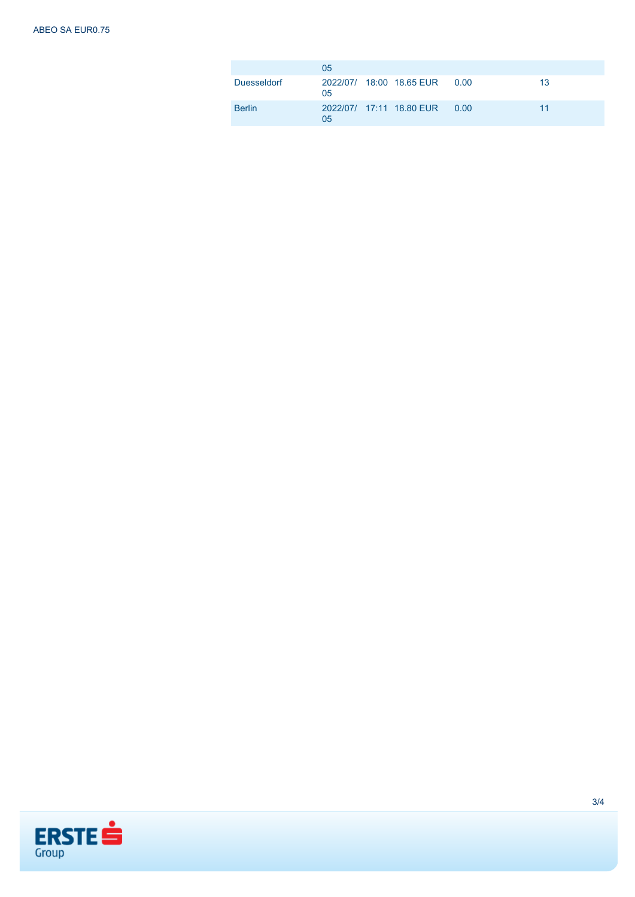|               | 05 |                                |      |    |
|---------------|----|--------------------------------|------|----|
| Duesseldorf   | 05 | 2022/07/ 18:00 18.65 EUR  0.00 |      | 13 |
| <b>Berlin</b> | 05 | 2022/07/ 17:11 18.80 EUR       | 0.00 | 11 |